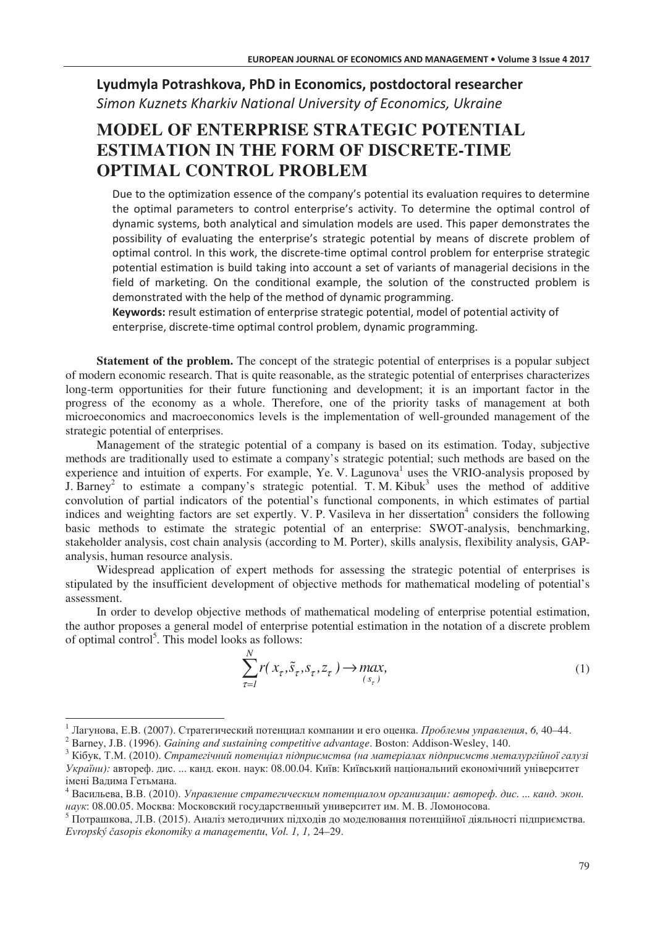## Lyudmyla Potrashkova, PhD in Economics, postdoctoral researcher **Simon Kuznets Kharkiv National University of Economics, Ukraine**

## **MODEL OF ENTERPRISE STRATEGIC POTENTIAL ESTIMATION IN THE FORM OF DISCRETE-TIME OPTIMAL CONTROL PROBLEM**

Due to the optimization essence of the company's potential its evaluation requires to determine the optimal parameters to control enterprise's activity. To determine the optimal control of dynamic systems, both analytical and simulation models are used. This paper demonstrates the possibility of evaluating the enterprise's strategic potential by means of discrete problem of optimal control. In this work, the discrete-time optimal control problem for enterprise strategic potential estimation is build taking into account a set of variants of managerial decisions in the field of marketing. On the conditional example, the solution of the constructed problem is demonstrated with the help of the method of dynamic programming.

Keywords: result estimation of enterprise strategic potential, model of potential activity of enterprise, discrete-time optimal control problem, dynamic programming.

**Statement of the problem.** The concept of the strategic potential of enterprises is a popular subject of modern economic research. That is quite reasonable, as the strategic potential of enterprises characterizes long-term opportunities for their future functioning and development; it is an important factor in the progress of the economy as a whole. Therefore, one of the priority tasks of management at both microeconomics and macroeconomics levels is the implementation of well-grounded management of the strategic potential of enterprises.

Management of the strategic potential of a company is based on its estimation. Today, subjective methods are traditionally used to estimate a company's strategic potential; such methods are based on the experience and intuition of experts. For example, Ye. V. Lagunova<sup>1</sup> uses the VRIO-analysis proposed by J. Barney<sup>2</sup> to estimate a company's strategic potential. T. M. Kibuk<sup>3</sup> uses the method of additive convolution of partial indicators of the potential's functional components, in which estimates of partial indices and weighting factors are set expertly. V. P. Vasileva in her dissertation<sup>4</sup> considers the following basic methods to estimate the strategic potential of an enterprise: SWOT-analysis, benchmarking, stakeholder analysis, cost chain analysis (according to M. Porter), skills analysis, flexibility analysis, GAPanalysis, human resource analysis.

Widespread application of expert methods for assessing the strategic potential of enterprises is stipulated by the insufficient development of objective methods for mathematical modeling of potential's assessment.

In order to develop objective methods of mathematical modeling of enterprise potential estimation, the author proposes a general model of enterprise potential estimation in the notation of a discrete problem of optimal control<sup>5</sup>. This model looks as follows:

$$
\sum_{\tau=1}^{N} r(x_{\tau}, \tilde{s}_{\tau}, s_{\tau}, z_{\tau}) \to \max_{(s_{\tau})} (1)
$$

 $\overline{a}$ 

<sup>&</sup>lt;sup>1</sup> Лагунова, Е.В. (2007). Стратегический потенциал компании и его оценка. *Проблемы управления*, 6, 40–44.

<sup>2</sup> Barney, J.B. (1996). *Gaining and sustaining competitive advantage*. Boston: Addison-Wesley, 140.

 $^3$  Кібук, Т.М. (2010). Стратегічний потенціал підприємства (на матеріалах підприємств металургійної галузі України): автореф. дис. ... канд. екон. наук: 08.00.04. Київ: Київський національний економічний університет імені Вадима Гетьмана.

<sup>&</sup>lt;sup>4</sup> Васильева, В.В. (2010). Управление стратегическим потенциалом организации: автореф. дис. ... канд. экон. наук: 08.00.05. Москва: Московский государственный университет им. М. В. Ломоносова.

<sup>&</sup>lt;sup>5</sup> Потрашкова, Л.В. (2015). Аналіз методичних підходів до моделювання потенційної діяльності підприємства. *Evropský >asopis ekonomiky a managementu*, *Vol. 1, 1,* 24–29.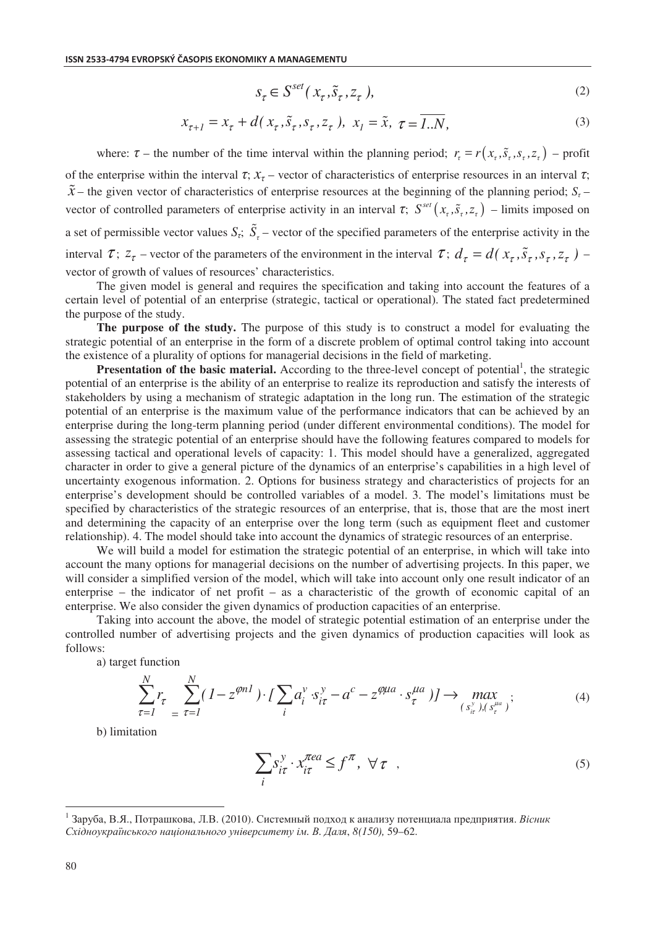$$
s_{\tau} \in S^{set}(x_{\tau}, \tilde{s}_{\tau}, z_{\tau}), \tag{2}
$$

$$
x_{\tau+1} = x_{\tau} + d(x_{\tau}, \tilde{s}_{\tau}, s_{\tau}, z_{\tau}), \ x_{I} = \tilde{x}, \ \tau = \overline{1..N}, \tag{3}
$$

where:  $\tau$  – the number of the time interval within the planning period;  $r_t = r(x_t, \tilde{s}_t, s_t, z_t)$  – profit of the enterprise within the interval  $\tau$ ;  $x_{\tau}$  – vector of characteristics of enterprise resources in an interval  $\tau$ ;  $\tilde{x}$  – the given vector of characteristics of enterprise resources at the beginning of the planning period;  $S_7$  – vector of controlled parameters of enterprise activity in an interval  $\tau$ ;  $S^{set}(x_{\tau}, \tilde{s}_{\tau}, z_{\tau})$  – limits imposed on a set of permissible vector values  $S_t$ ;  $\tilde{S}_t$  – vector of the specified parameters of the enterprise activity in the interval  $\tau$ ;  $z_{\tau}$  – vector of the parameters of the environment in the interval  $\tau$ ;  $d_{\tau} = d(x_{\tau}, \tilde{s}_{\tau}, s_{\tau}, z_{\tau})$  – vector of growth of values of resources' characteristics.

The given model is general and requires the specification and taking into account the features of a certain level of potential of an enterprise (strategic, tactical or operational). The stated fact predetermined the purpose of the study.

**The purpose of the study.** The purpose of this study is to construct a model for evaluating the strategic potential of an enterprise in the form of a discrete problem of optimal control taking into account the existence of a plurality of options for managerial decisions in the field of marketing.

Presentation of the basic material. According to the three-level concept of potential<sup>1</sup>, the strategic potential of an enterprise is the ability of an enterprise to realize its reproduction and satisfy the interests of stakeholders by using a mechanism of strategic adaptation in the long run. The estimation of the strategic potential of an enterprise is the maximum value of the performance indicators that can be achieved by an enterprise during the long-term planning period (under different environmental conditions). The model for assessing the strategic potential of an enterprise should have the following features compared to models for assessing tactical and operational levels of capacity: 1. This model should have a generalized, aggregated character in order to give a general picture of the dynamics of an enterprise's capabilities in a high level of uncertainty exogenous information. 2. Options for business strategy and characteristics of projects for an enterprise's development should be controlled variables of a model. 3. The model's limitations must be specified by characteristics of the strategic resources of an enterprise, that is, those that are the most inert and determining the capacity of an enterprise over the long term (such as equipment fleet and customer relationship). 4. The model should take into account the dynamics of strategic resources of an enterprise.

We will build a model for estimation the strategic potential of an enterprise, in which will take into account the many options for managerial decisions on the number of advertising projects. In this paper, we will consider a simplified version of the model, which will take into account only one result indicator of an enterprise – the indicator of net profit – as a characteristic of the growth of economic capital of an enterprise. We also consider the given dynamics of production capacities of an enterprise.

Taking into account the above, the model of strategic potential estimation of an enterprise under the controlled number of advertising projects and the given dynamics of production capacities will look as follows:

) target function

$$
\sum_{\tau=1}^{N} r_{\tau} \sum_{i=1}^{N} (1 - z^{\varphi n} \cdot f) \sum_{i} a_{i}^{v} \cdot s_{i\tau}^{y} - a^{c} - z^{\varphi \mu a} \cdot s_{\tau}^{\mu a} \cdot f \rightarrow \max_{(s_{i\tau}^{v}), (s_{\tau}^{\mu a})};
$$
\n(4)

b) limitation

$$
\sum_{i} S_{i\tau}^{y} \cdot x_{i\tau}^{\text{real}} \le f^{\pi}, \ \forall \tau \quad , \tag{5}
$$

 $\overline{a}$ 

 $^1$ Заруба, В.Я., Потрашкова, Л.В. (2010). Системный подход к анализу потенциала предприятия. *Вісник* Східноукраїнського національного університету ім. В. Даля, 8(150), 59-62.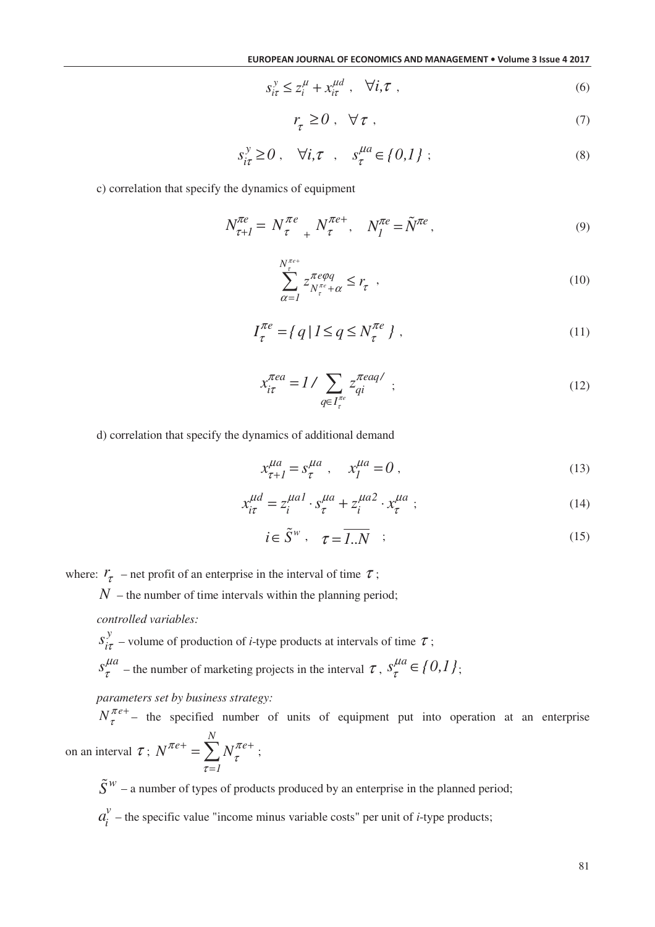$$
s_{i\tau}^y \le z_i^\mu + x_{i\tau}^{\mu d} \ , \quad \forall i, \tau \ , \tag{6}
$$

$$
r_{\tau} \ge 0 \; , \quad \forall \tau \; , \tag{7}
$$

$$
s_{i\tau}^{\mathcal{Y}} \ge 0 \;, \quad \forall i, \tau \;, \quad s_{\tau}^{\mu a} \in \{0,1\} \;; \tag{8}
$$

c) correlation that specify the dynamics of equipment

$$
N_{\tau+I}^{\pi e} = N_{\tau}^{\pi e} + N_{\tau}^{\pi e+}, \quad N_I^{\pi e} = \tilde{N}^{\pi e}, \tag{9}
$$

$$
\sum_{\alpha=1}^{N_{\tau}^{\pi e}} z_{N_{\tau}^{\pi e} + \alpha}^{\pi e \varphi q} \le r_{\tau} \quad , \tag{10}
$$

$$
I_{\tau}^{\pi e} = \{ q \mid l \le q \le N_{\tau}^{\pi e} \}, \qquad (11)
$$

$$
x_{i\tau}^{\pi ea} = 1 / \sum_{q \in I_{\tau}^{\pi e}} z_{qi}^{\pi eaq'} ; \qquad (12)
$$

d) correlation that specify the dynamics of additional demand

$$
x_{\tau+1}^{\mu a} = s_{\tau}^{\mu a} , \quad x_I^{\mu a} = 0 , \qquad (13)
$$

$$
x_{i\tau}^{\mu d} = z_i^{\mu a} \cdot s_{\tau}^{\mu a} + z_i^{\mu a} \cdot x_{\tau}^{\mu a} ; \qquad (14)
$$

$$
i \in \tilde{S}^w \,, \quad \tau = \overline{1..N} \quad ; \tag{15}
$$

where:  $r_{\tau}$  – net profit of an enterprise in the interval of time  $\tau$ ;

 $N$  – the number of time intervals within the planning period;

*controlled variables:* 

*y*  $s_{i\tau}^y$  – volume of production of *i*-type products at intervals of time  $\tau$ ;

 $s^{I\mu a}_{\tau}$  $\tau_{\tau}^{\mu a}$  – the number of marketing projects in the interval  $\tau$ ,  $s_{\tau}^{\mu a} \in \{0,1\}$ ;

*parameters set by business strategy:* 

 $N_{\tau}^{\pi e}$ τ + – the specified number of units of equipment put into operation at an enterprise on an interval  $\tau$ ; *N*  $e^+$   $\sum$   $\sum$   $\pi e$ *1*  $N^{\pi e+} = \sum N_{\tau}^{\pi}$ τ  $+ - \nabla_{M} \pi e +$ =  $=\sum_{\tau} N_{\tau}^{\pi e+}$ ;

 $\tilde{S}^w$  – a number of types of products produced by an enterprise in the planned period;

*v*  $a_i^{\nu}$  – the specific value "income minus variable costs" per unit of *i*-type products;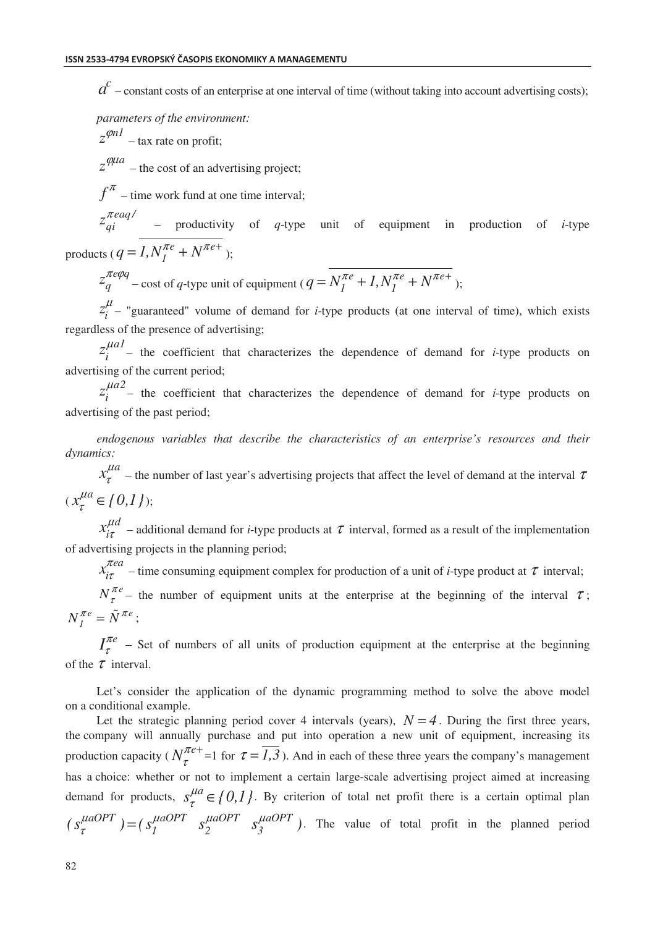$a^{c}$  – constant costs of an enterprise at one interval of time (without taking into account advertising costs);

*parameters of the environment:* 

 $z^{\varphi n l}$  – tax rate on profit;

 $z^{\phi\mu a}$  – the cost of an advertising project;

 $f^{\pi}$  – time work fund at one time interval;

 $z_{qi}^{\pi e aq}$  – productivity of *q*-type unit of equipment in production of *i*-type

products ( $q = 1, N_I^{\pi e} + N^{\pi e^+}$ );

*e q*  $z_q^{\pi e \varphi q}$  – cost of *q*-type unit of equipment (  $q = N_I^{\pi e} + 1, N_I^{\pi e} + N^{\pi e + 1}$  );

 $\mu$  $z_i^{\mu}$  – "guaranteed" volume of demand for *i*-type products (at one interval of time), which exists regardless of the presence of advertising;

*a1*  $z_i^{flat}$  – the coefficient that characterizes the dependence of demand for *i*-type products on advertising of the current period;

*a2*  $z_i^{IIa2}$  – the coefficient that characterizes the dependence of demand for *i*-type products on advertising of the past period;

*endogenous variables that describe the characteristics of an enterprise's resources and their dynamics:* 

 $x_{\tau}^{\mu a}$  $\tau_{\tau}^{max}$  – the number of last year's advertising projects that affect the level of demand at the interval  $\tau$  $(x_{\tau}^{\mu a} \in \{0,1\});$ 

*d*  $x_{i\tau}^{\mu}$  $\tau_{\tau}$  – additional demand for *i*-type products at  $\tau$  interval, formed as a result of the implementation of advertising projects in the planning period;

*ea*  $x_{i\tau}^{\pi}$  $\frac{\partial u}{\partial \tau}$  – time consuming equipment complex for production of a unit of *i*-type product at  $\tau$  interval;

 $N_{\tau}^{\pi e}$  $\tau^{\prime\prime}$  – the number of equipment units at the enterprise at the beginning of the interval  $\tau$ ;  $e = \tilde{N} \pi e$  $N_I^{\pi e} = \tilde{N}^{\pi e}$ ;

 $I_\tau^{\pi e}$  $\tau$ <sup>the</sup> – Set of numbers of all units of production equipment at the enterprise at the beginning of the  $\tau$  interval.

Let's consider the application of the dynamic programming method to solve the above model on a conditional example.

Let the strategic planning period cover 4 intervals (years),  $N = 4$ . During the first three years, the company will annually purchase and put into operation a new unit of equipment, increasing its production capacity ( $N_{\tau}^{\pi e}$ τ <sup>+</sup> =1 for  $\tau = \overline{I_1,3}$ ). And in each of these three years the company's management has a choice: whether or not to implement a certain large-scale advertising project aimed at increasing demand for products,  $s^{\mu a}_{\tau} \in \{0,1\}$ . By criterion of total net profit there is a certain optimal plan  $(s_{\tau}^{\mu aOPT}) = (s_1^{\mu aOPT} s_2^{\mu aOPT} s_3^{\mu aOPT})$ . The value of total profit in the planned period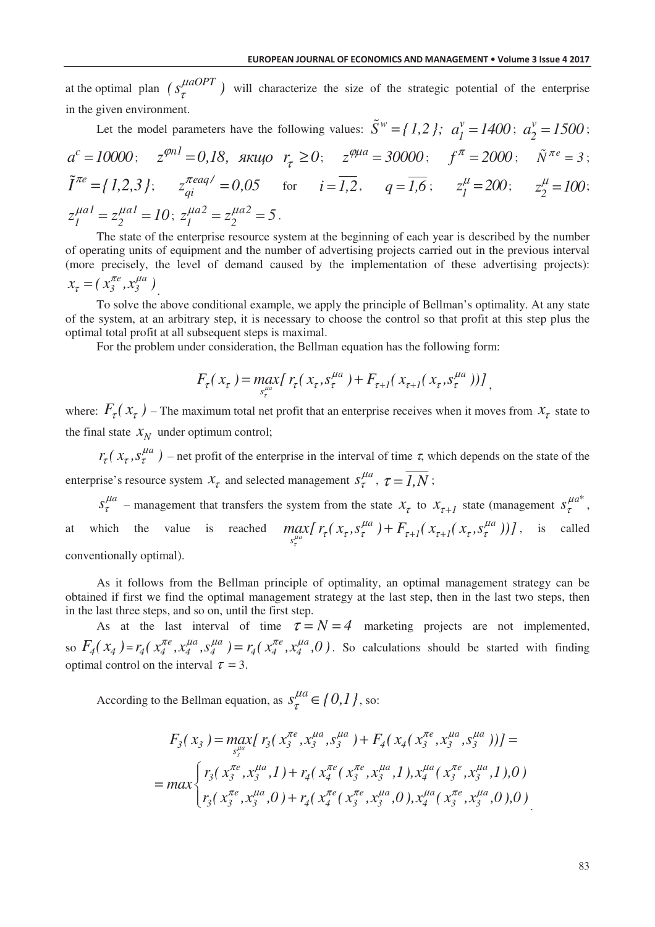at the optimal plan  $(s_{\tau}^{\mu aOPT})$  will characterize the size of the strategic potential of the enterprise in the given environment.

Let the model parameters have the following values:  $\tilde{S}^w = \{1, 2\}$ ;  $a_i^v =$  $a_1^v = 1400$ ;  $a_2^v =$  $a_2^{\nu} = 1500$ ;  $a^c = 10000;$   $z^{\varphi n l} = 0.18$ ,  $\pi u \varphi \rvert_{z} \ge 0;$   $z^{\varphi \mu a} = 30000;$   $f^{\pi} = 2000;$   $\tilde{N}^{\pi e} = 3;$  $\tilde{I}^{\pi e} = \{1, 2, 3\};$   $z_{qi}^{\pi e aq} = 0.05$  for  $i = \overline{1, 2},$   $q = \overline{1, 6};$   $z_{1}^{\mu} = 200;$   $z_{2}^{\mu} = 100;$  $z_1^{\mu a1} = z_2^{\mu a1} = 10$ ;  $z_1^{\mu a2} = z_2^{\mu a2} = 5$ .

The state of the enterprise resource system at the beginning of each year is described by the number of operating units of equipment and the number of advertising projects carried out in the previous interval (more precisely, the level of demand caused by the implementation of these advertising projects):  $x_{\tau} = (x_{3}^{\pi e}, x_{3}^{\mu a})$ .

To solve the above conditional example, we apply the principle of Bellman's optimality. At any state of the system, at an arbitrary step, it is necessary to choose the control so that profit at this step plus the optimal total profit at all subsequent steps is maximal.

For the problem under consideration, the Bellman equation has the following form:

$$
F_{\tau}(x_{\tau}) = \max_{s_{\tau}^{\mu a}} [r_{\tau}(x_{\tau}, s_{\tau}^{\mu a}) + F_{\tau+1}(x_{\tau+1}(x_{\tau}, s_{\tau}^{\mu a}))] ,
$$

where:  $F_{\tau}(x_{\tau})$  – The maximum total net profit that an enterprise receives when it moves from  $x_{\tau}$  state to the final state  $X_N$  under optimum control;

 $r_{\tau}$ ( $x_{\tau}$ ,  $s_{\tau}^{\mu}$  $r_{\tau}$ ( $x_{\tau}$ ,  $s_{\tau}^{\mu a}$ ) – net profit of the enterprise in the interval of time  $\tau$ , which depends on the state of the enterprise's resource system  $x_{\tau}$  and selected management  $s_{\tau}^{\mu a}$ ,  $\tau = \overline{I, N}$ ;

 $s_\tau^{\mu a}$  – management that transfers the system from the state  $x_\tau$  to  $x_{\tau+1}$  state (management  $s_\tau^{\mu a^*}$ , at which the value is reached  $ma$  $a_{11} E_{1x}$  *d*  $a_{1x}$   $a_{1y}$  $\iint_{S_{\tau}^{\mu a}} I \tau(\lambda_{\tau}, S_{\tau}) + \Gamma_{\tau+1}(\lambda_{\tau+1})$  $\max_{s_t^{\mu a}} [r_\tau(x_\tau,s_\tau^{\mu a}) + F_{\tau+I}(x_{\tau+I}(x_\tau,s_\tau^{\mu a}))]$  $\tau_{\tau}$ ( $x_{\tau}, s_{\tau}^{\mu a}$ ) +  $F_{\tau+1}$ ( $x_{\tau+1}$ ( $x_{\tau}, s_{\tau}^{\mu a}$ ))], is called conventionally optimal).

As it follows from the Bellman principle of optimality, an optimal management strategy can be obtained if first we find the optimal management strategy at the last step, then in the last two steps, then in the last three steps, and so on, until the first step.

As at the last interval of time  $\tau = N = 4$  marketing projects are not implemented, so  $F_4(x_4) = r_4(x_4^{\pi e}, x_4^{\mu a}, s_4^{\mu a}) = r_4(x_4^{\pi e}, x_4^{\mu a}, 0)$ . So calculations should be started with finding optimal control on the interval  $\tau = 3$ .

According to the Bellman equation, as  $s^{\mu a}_{\tau} \in \{0,1\}$ , so:

$$
F_3(x_3) = \max_{s_3^{\mu a}} [r_3(x_3^{\pi e}, x_3^{\mu a}, s_3^{\mu a}) + F_4(x_4(x_3^{\pi e}, x_3^{\mu a}, s_3^{\mu a}))] =
$$
  
= 
$$
\max \left\{ r_3(x_3^{\pi e}, x_3^{\mu a}, 1) + r_4(x_4^{\pi e}(x_3^{\pi e}, x_3^{\mu a}, 1), x_4^{\mu a}(x_3^{\pi e}, x_3^{\mu a}, 1), 0) \right\}
$$
  

$$
r_3(x_3^{\pi e}, x_3^{\mu a}, 0) + r_4(x_4^{\pi e}(x_3^{\pi e}, x_3^{\mu a}, 0), x_4^{\mu a}(x_3^{\pi e}, x_3^{\mu a}, 0), 0)
$$

.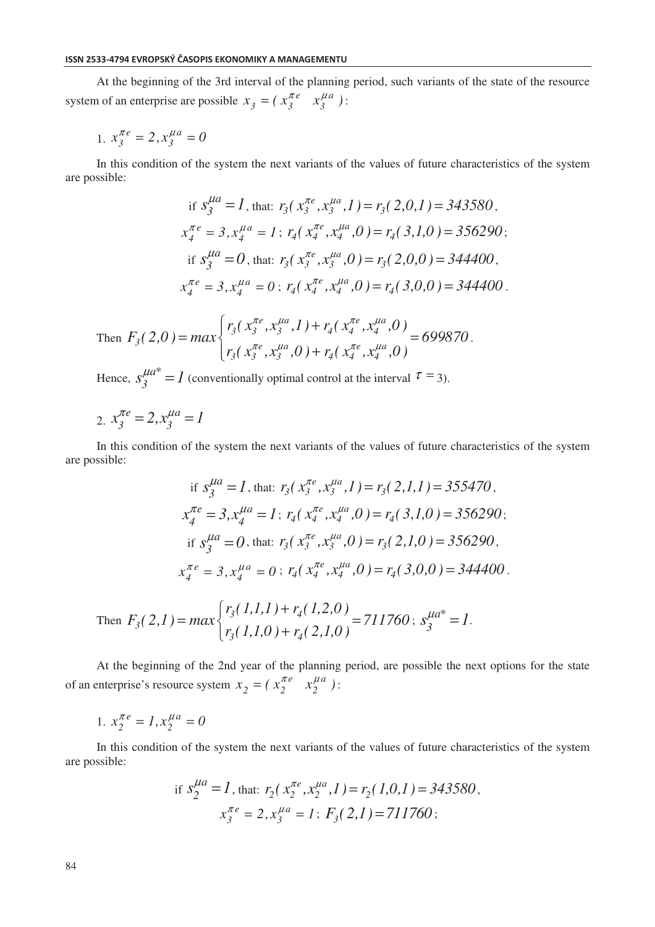At the beginning of the 3rd interval of the planning period, such variants of the state of the resource system of an enterprise are possible  $x_3 = (x_3^{\pi e} \ x_3^{\mu a})$ :

1. 
$$
x_3^{\pi e} = 2, x_3^{\mu a} = 0
$$

In this condition of the system the next variants of the values of future characteristics of the system are possible:

if 
$$
s_3^{\mu a} = 1
$$
, that:  $r_3(x_3^{\pi e}, x_3^{\mu a}, 1) = r_3(2,0,1) = 343580$ ,  
\n $x_4^{\pi e} = 3, x_4^{\mu a} = 1$ ;  $r_4(x_4^{\pi e}, x_4^{\mu a}, 0) = r_4(3,1,0) = 356290$ ;  
\nif  $s_3^{\mu a} = 0$ , that:  $r_3(x_3^{\pi e}, x_3^{\mu a}, 0) = r_3(2,0,0) = 344400$ ,  
\n $x_4^{\pi e} = 3, x_4^{\mu a} = 0$ ;  $r_4(x_4^{\pi e}, x_4^{\mu a}, 0) = r_4(3,0,0) = 344400$ .

Then 
$$
F_3(2,0) = max \begin{cases} r_3(x_3^{\pi e}, x_3^{\mu a}, 1) + r_4(x_4^{\pi e}, x_4^{\mu a}, 0) \\ r_3(x_3^{\pi e}, x_3^{\mu a}, 0) + r_4(x_4^{\pi e}, x_4^{\mu a}, 0) \end{cases} = 699870.
$$

Hence,  $s_3^{\mu a^*} = 1$  (conventionally optimal control at the interval  $\tau = 3$ ).

2. 
$$
x_3^{\pi e} = 2, x_3^{\mu a} = 1
$$

In this condition of the system the next variants of the values of future characteristics of the system are possible:

if 
$$
s_3^{\mu a} = 1
$$
, that:  $r_3(x_3^{\pi e}, x_3^{\mu a}, 1) = r_3(2, 1, 1) = 355470$ ,  
\n $x_4^{\pi e} = 3, x_4^{\mu a} = 1$ ;  $r_4(x_4^{\pi e}, x_4^{\mu a}, 0) = r_4(3, 1, 0) = 356290$ ;  
\nif  $s_3^{\mu a} = 0$ , that:  $r_3(x_3^{\pi e}, x_3^{\mu a}, 0) = r_3(2, 1, 0) = 356290$ ,  
\n $x_4^{\pi e} = 3, x_4^{\mu a} = 0$ ;  $r_4(x_4^{\pi e}, x_4^{\mu a}, 0) = r_4(3, 0, 0) = 344400$ .

Then 
$$
F_3(2,1) = max \begin{cases} r_3(1,1,1) + r_4(1,2,0) \\ r_3(1,1,0) + r_4(2,1,0) \end{cases} = 711760
$$
;  $s_3^{\mu a^*} = 1$ .

At the beginning of the 2nd year of the planning period, are possible the next options for the state of an enterprise's resource system  $x_2 = (x_2^{\pi e} \ x_2^{\mu a})$ :

1. 
$$
x_2^{\pi e} = 1, x_2^{\mu a} = 0
$$

In this condition of the system the next variants of the values of future characteristics of the system are possible:

if 
$$
s_2^{\mu a} = 1
$$
, that:  $r_2(x_2^{\pi e}, x_2^{\mu a}, 1) = r_2(1, 0, 1) = 343580$ ,  
 $x_3^{\pi e} = 2, x_3^{\mu a} = 1$ ;  $F_3(2, 1) = 711760$ ;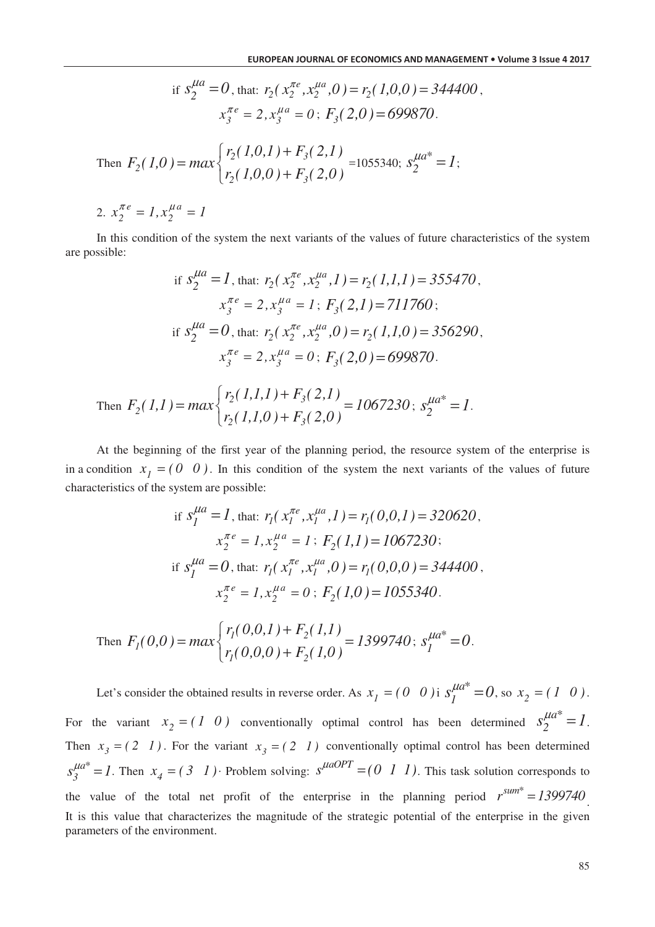if 
$$
s_2^{\mu a} = 0
$$
, that:  $r_2(x_2^{\pi e}, x_2^{\mu a}, 0) = r_2(1,0,0) = 344400$ ,  
\n $x_3^{\pi e} = 2$ ,  $x_3^{\mu a} = 0$ ;  $F_3(2,0) = 699870$ .  
\nThen  $F_2(1,0) = max \begin{cases} r_2(1,0,1) + F_3(2,1) \\ r_2(1,0,0) + F_3(2,0) \end{cases} = 1055340$ ;  $s_2^{\mu a^*} = 1$ ;  
\n2.  $x_2^{\pi e} = 1$ ,  $x_2^{\mu a} = 1$ 

*a*

In this condition of the system the next variants of the values of future characteristics of the system are possible:

if 
$$
S_2^{\mu a} = I
$$
, that:  $r_2(x_2^{\pi e}, x_2^{\mu a}, I) = r_2(I, I, I) = 355470$ ,  
\n $x_3^{\pi e} = 2, x_3^{\mu a} = I$ ;  $F_3(2, I) = 711760$ ;  
\nif  $S_2^{\mu a} = 0$ , that:  $r_2(x_2^{\pi e}, x_2^{\mu a}, 0) = r_2(I, I, 0) = 356290$ ,  
\n $x_3^{\pi e} = 2, x_3^{\mu a} = 0$ ;  $F_3(2, 0) = 699870$ .

Then 
$$
F_2(1,1) = max \begin{cases} r_2(1,1,1) + F_3(2,1) \\ r_2(1,1,0) + F_3(2,0) \end{cases} = 1067230
$$
;  $s_2^{\mu a^*} = 1$ .

At the beginning of the first year of the planning period, the resource system of the enterprise is in a condition  $x_1 = (0 \ 0)$ . In this condition of the system the next variants of the values of future characteristics of the system are possible:

if 
$$
s_I^{\mu a} = I
$$
, that:  $r_I(x_I^{\pi e}, x_I^{\mu a}, I) = r_I(0, 0, I) = 320620$ ,  
\n $x_2^{\pi e} = I$ ,  $x_2^{\mu a} = I$ ;  $F_2(1, I) = 1067230$ ;  
\nif  $s_I^{\mu a} = 0$ , that:  $r_I(x_I^{\pi e}, x_I^{\mu a}, 0) = r_I(0, 0, 0) = 344400$ ,  
\n $x_2^{\pi e} = I$ ,  $x_2^{\mu a} = 0$ ;  $F_2(1, 0) = 1055340$ .

Then 
$$
F_I(0,0) = max \begin{cases} r_I(0,0,1) + F_2(1,1) \\ r_I(0,0,0) + F_2(1,0) \end{cases} = 1399740
$$
;  $s_I^{\mu a^*} = 0$ .

Let's consider the obtained results in reverse order. As  $x_1 = (0 \ 0)$  i  $s_1^{\mu a*}$  $s_1^{\mu a^*} = 0$ , so  $x_2 = (1 \ 0)$ . For the variant  $x_2 = (1 \ 0)$  conventionally optimal control has been determined  $s_2^{\mu a^*} = 1$ . Then  $x_3 = (2 \ 1)$ . For the variant  $x_3 = (2 \ 1)$  conventionally optimal control has been determined *a\**  $s_j^{\mu a^*} = 1$ . Then  $x_j = (3 \ 1)$  Problem solving:  $s^{\mu a OPT} = (0 \ 1 \ 1)$ . This task solution corresponds to the value of the total net profit of the enterprise in the planning period  $r^{sum*} = 1399740$ . It is this value that characterizes the magnitude of the strategic potential of the enterprise in the given parameters of the environment.